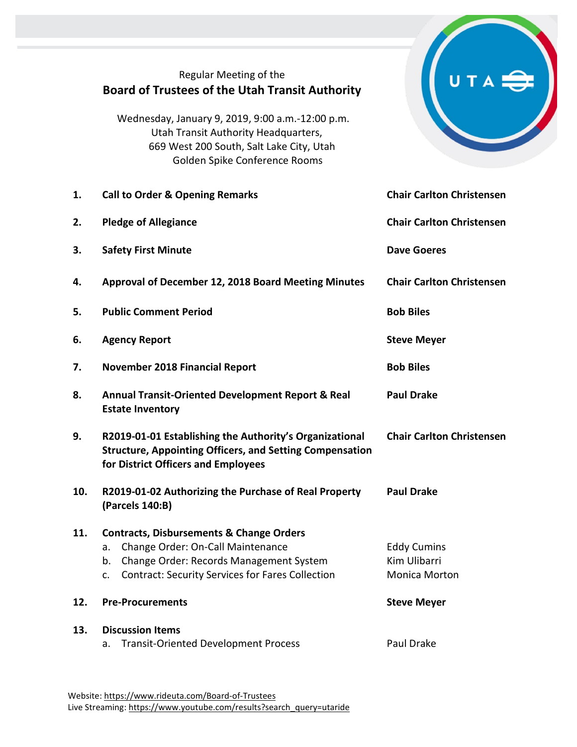|     | Regular Meeting of the<br><b>Board of Trustees of the Utah Transit Authority</b>                                                                                                                                 |                                                            |
|-----|------------------------------------------------------------------------------------------------------------------------------------------------------------------------------------------------------------------|------------------------------------------------------------|
|     | Wednesday, January 9, 2019, 9:00 a.m.-12:00 p.m.<br>Utah Transit Authority Headquarters,<br>669 West 200 South, Salt Lake City, Utah<br>Golden Spike Conference Rooms                                            |                                                            |
| 1.  | <b>Call to Order &amp; Opening Remarks</b>                                                                                                                                                                       | <b>Chair Carlton Christensen</b>                           |
| 2.  | <b>Pledge of Allegiance</b>                                                                                                                                                                                      | <b>Chair Carlton Christensen</b>                           |
| 3.  | <b>Safety First Minute</b>                                                                                                                                                                                       | <b>Dave Goeres</b>                                         |
| 4.  | Approval of December 12, 2018 Board Meeting Minutes                                                                                                                                                              | <b>Chair Carlton Christensen</b>                           |
| 5.  | <b>Public Comment Period</b>                                                                                                                                                                                     | <b>Bob Biles</b>                                           |
| 6.  | <b>Agency Report</b>                                                                                                                                                                                             | <b>Steve Meyer</b>                                         |
| 7.  | <b>November 2018 Financial Report</b>                                                                                                                                                                            | <b>Bob Biles</b>                                           |
| 8.  | <b>Annual Transit-Oriented Development Report &amp; Real</b><br><b>Estate Inventory</b>                                                                                                                          | <b>Paul Drake</b>                                          |
| 9.  | R2019-01-01 Establishing the Authority's Organizational<br><b>Structure, Appointing Officers, and Setting Compensation</b><br>for District Officers and Employees                                                | <b>Chair Carlton Christensen</b>                           |
| 10. | R2019-01-02 Authorizing the Purchase of Real Property<br>(Parcels 140:B)                                                                                                                                         | <b>Paul Drake</b>                                          |
| 11. | <b>Contracts, Disbursements &amp; Change Orders</b><br>Change Order: On-Call Maintenance<br>a.<br>Change Order: Records Management System<br>b.<br><b>Contract: Security Services for Fares Collection</b><br>c. | <b>Eddy Cumins</b><br>Kim Ulibarri<br><b>Monica Morton</b> |
| 12. | <b>Pre-Procurements</b>                                                                                                                                                                                          | <b>Steve Meyer</b>                                         |
| 13. | <b>Discussion Items</b><br><b>Transit-Oriented Development Process</b><br>a.                                                                                                                                     | Paul Drake                                                 |